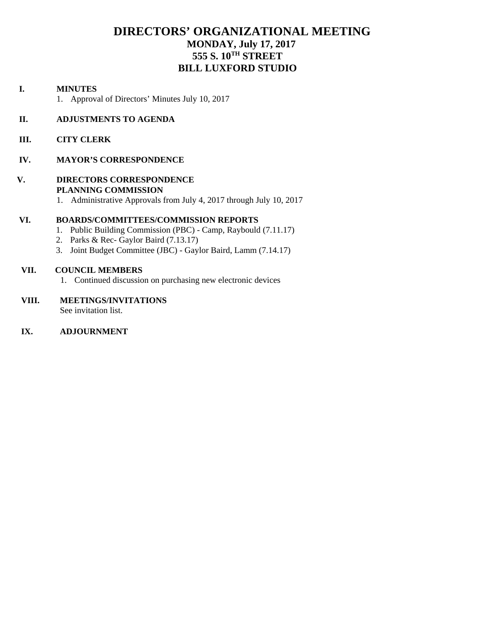## **DIRECTORS' ORGANIZATIONAL MEETING MONDAY, July 17, 2017 555 S. 10TH STREET BILL LUXFORD STUDIO**

#### **I. MINUTES**

1. Approval of Directors' Minutes July 10, 2017

#### **II. ADJUSTMENTS TO AGENDA**

 **III. CITY CLERK** 

#### **IV. MAYOR'S CORRESPONDENCE**

#### **V. DIRECTORS CORRESPONDENCE PLANNING COMMISSION**

1. Administrative Approvals from July 4, 2017 through July 10, 2017

#### **VI. BOARDS/COMMITTEES/COMMISSION REPORTS**

- 1. Public Building Commission (PBC) Camp, Raybould (7.11.17)
- 2. Parks & Rec- Gaylor Baird (7.13.17)
- 3. Joint Budget Committee (JBC) Gaylor Baird, Lamm (7.14.17)

#### **VII. COUNCIL MEMBERS**

1. Continued discussion on purchasing new electronic devices

## **VIII. MEETINGS/INVITATIONS**

See invitation list.

#### **IX. ADJOURNMENT**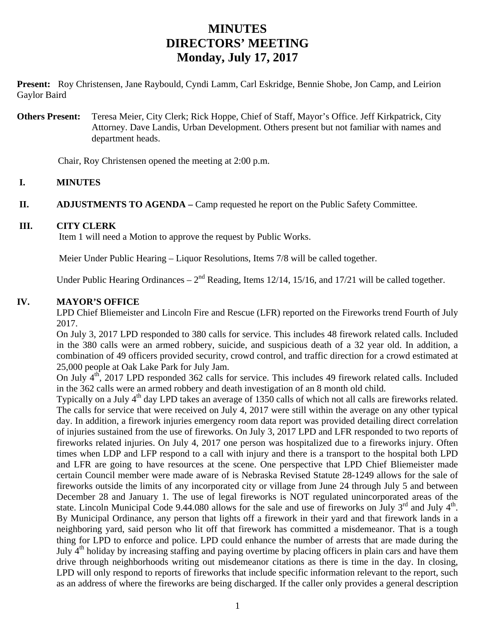**Present:** Roy Christensen, Jane Raybould, Cyndi Lamm, Carl Eskridge, Bennie Shobe, Jon Camp, and Leirion Gaylor Baird

**Others Present:** Teresa Meier, City Clerk; Rick Hoppe, Chief of Staff, Mayor's Office. Jeff Kirkpatrick, City Attorney. Dave Landis, Urban Development. Others present but not familiar with names and department heads.

Chair, Roy Christensen opened the meeting at 2:00 p.m.

### **I. MINUTES**

**II.** ADJUSTMENTS TO AGENDA – Camp requested he report on the Public Safety Committee.

#### **III. CITY CLERK**

Item 1 will need a Motion to approve the request by Public Works.

Meier Under Public Hearing – Liquor Resolutions, Items 7/8 will be called together.

Under Public Hearing Ordinances –  $2<sup>nd</sup>$  Reading, Items 12/14, 15/16, and 17/21 will be called together.

### **IV. MAYOR'S OFFICE**

LPD Chief Bliemeister and Lincoln Fire and Rescue (LFR) reported on the Fireworks trend Fourth of July 2017.

On July 3, 2017 LPD responded to 380 calls for service. This includes 48 firework related calls. Included in the 380 calls were an armed robbery, suicide, and suspicious death of a 32 year old. In addition, a combination of 49 officers provided security, crowd control, and traffic direction for a crowd estimated at 25,000 people at Oak Lake Park for July Jam.

On July  $4<sup>th</sup>$ , 2017 LPD responded 362 calls for service. This includes 49 firework related calls. Included in the 362 calls were an armed robbery and death investigation of an 8 month old child.

Typically on a July 4<sup>th</sup> day LPD takes an average of 1350 calls of which not all calls are fireworks related. The calls for service that were received on July 4, 2017 were still within the average on any other typical day. In addition, a firework injuries emergency room data report was provided detailing direct correlation of injuries sustained from the use of fireworks. On July 3, 2017 LPD and LFR responded to two reports of fireworks related injuries. On July 4, 2017 one person was hospitalized due to a fireworks injury. Often times when LDP and LFP respond to a call with injury and there is a transport to the hospital both LPD and LFR are going to have resources at the scene. One perspective that LPD Chief Bliemeister made certain Council member were made aware of is Nebraska Revised Statute 28-1249 allows for the sale of fireworks outside the limits of any incorporated city or village from June 24 through July 5 and between December 28 and January 1. The use of legal fireworks is NOT regulated unincorporated areas of the state. Lincoln Municipal Code 9.44.080 allows for the sale and use of fireworks on July  $3<sup>rd</sup>$  and July  $4<sup>th</sup>$ . By Municipal Ordinance, any person that lights off a firework in their yard and that firework lands in a neighboring yard, said person who lit off that firework has committed a misdemeanor. That is a tough thing for LPD to enforce and police. LPD could enhance the number of arrests that are made during the July 4th holiday by increasing staffing and paying overtime by placing officers in plain cars and have them drive through neighborhoods writing out misdemeanor citations as there is time in the day. In closing, LPD will only respond to reports of fireworks that include specific information relevant to the report, such as an address of where the fireworks are being discharged. If the caller only provides a general description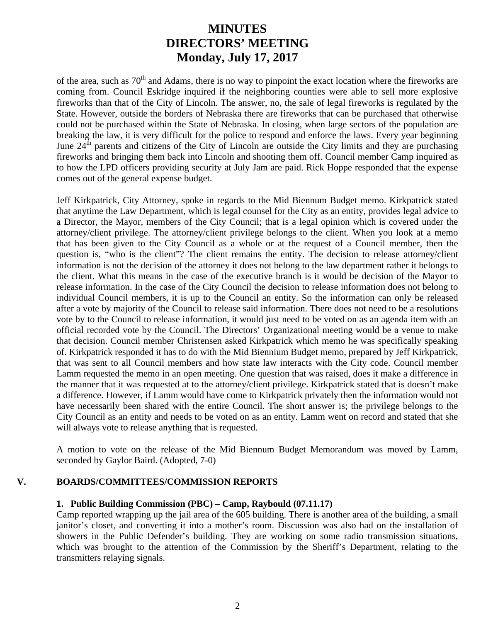of the area, such as  $70<sup>th</sup>$  and Adams, there is no way to pinpoint the exact location where the fireworks are coming from. Council Eskridge inquired if the neighboring counties were able to sell more explosive fireworks than that of the City of Lincoln. The answer, no, the sale of legal fireworks is regulated by the State. However, outside the borders of Nebraska there are fireworks that can be purchased that otherwise could not be purchased within the State of Nebraska. In closing, when large sectors of the population are breaking the law, it is very difficult for the police to respond and enforce the laws. Every year beginning June 24<sup>th</sup> parents and citizens of the City of Lincoln are outside the City limits and they are purchasing fireworks and bringing them back into Lincoln and shooting them off. Council member Camp inquired as to how the LPD officers providing security at July Jam are paid. Rick Hoppe responded that the expense comes out of the general expense budget.

Jeff Kirkpatrick, City Attorney, spoke in regards to the Mid Biennum Budget memo. Kirkpatrick stated that anytime the Law Department, which is legal counsel for the City as an entity, provides legal advice to a Director, the Mayor, members of the City Council; that is a legal opinion which is covered under the attorney/client privilege. The attorney/client privilege belongs to the client. When you look at a memo that has been given to the City Council as a whole or at the request of a Council member, then the question is, "who is the client"? The client remains the entity. The decision to release attorney/client information is not the decision of the attorney it does not belong to the law department rather it belongs to the client. What this means in the case of the executive branch is it would be decision of the Mayor to release information. In the case of the City Council the decision to release information does not belong to individual Council members, it is up to the Council an entity. So the information can only be released after a vote by majority of the Council to release said information. There does not need to be a resolutions vote by to the Council to release information, it would just need to be voted on as an agenda item with an official recorded vote by the Council. The Directors' Organizational meeting would be a venue to make that decision. Council member Christensen asked Kirkpatrick which memo he was specifically speaking of. Kirkpatrick responded it has to do with the Mid Biennium Budget memo, prepared by Jeff Kirkpatrick, that was sent to all Council members and how state law interacts with the City code. Council member Lamm requested the memo in an open meeting. One question that was raised, does it make a difference in the manner that it was requested at to the attorney/client privilege. Kirkpatrick stated that is doesn't make a difference. However, if Lamm would have come to Kirkpatrick privately then the information would not have necessarily been shared with the entire Council. The short answer is; the privilege belongs to the City Council as an entity and needs to be voted on as an entity. Lamm went on record and stated that she will always vote to release anything that is requested.

A motion to vote on the release of the Mid Biennum Budget Memorandum was moved by Lamm, seconded by Gaylor Baird. (Adopted, 7-0)

#### **V. BOARDS/COMMITTEES/COMMISSION REPORTS**

#### **1. Public Building Commission (PBC) – Camp, Raybould (07.11.17)**

 Camp reported wrapping up the jail area of the 605 building. There is another area of the building, a small janitor's closet, and converting it into a mother's room. Discussion was also had on the installation of showers in the Public Defender's building. They are working on some radio transmission situations, which was brought to the attention of the Commission by the Sheriff's Department, relating to the transmitters relaying signals.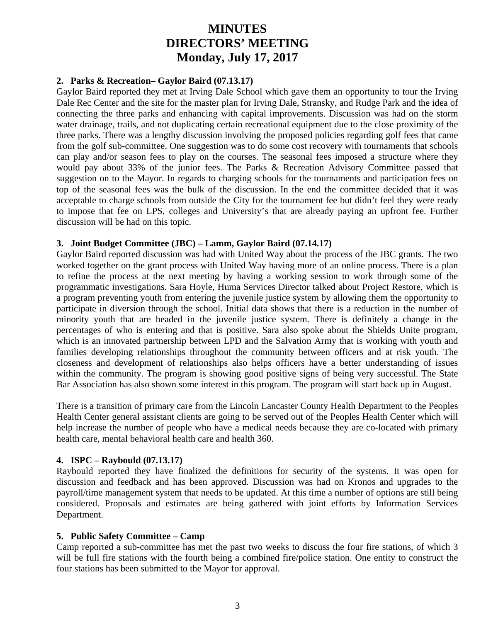### **2. Parks & Recreation– Gaylor Baird (07.13.17)**

Gaylor Baird reported they met at Irving Dale School which gave them an opportunity to tour the Irving Dale Rec Center and the site for the master plan for Irving Dale, Stransky, and Rudge Park and the idea of connecting the three parks and enhancing with capital improvements. Discussion was had on the storm water drainage, trails, and not duplicating certain recreational equipment due to the close proximity of the three parks. There was a lengthy discussion involving the proposed policies regarding golf fees that came from the golf sub-committee. One suggestion was to do some cost recovery with tournaments that schools can play and/or season fees to play on the courses. The seasonal fees imposed a structure where they would pay about 33% of the junior fees. The Parks & Recreation Advisory Committee passed that suggestion on to the Mayor. In regards to charging schools for the tournaments and participation fees on top of the seasonal fees was the bulk of the discussion. In the end the committee decided that it was acceptable to charge schools from outside the City for the tournament fee but didn't feel they were ready to impose that fee on LPS, colleges and University's that are already paying an upfront fee. Further discussion will be had on this topic.

#### **3. Joint Budget Committee (JBC) – Lamm, Gaylor Baird (07.14.17)**

Gaylor Baird reported discussion was had with United Way about the process of the JBC grants. The two worked together on the grant process with United Way having more of an online process. There is a plan to refine the process at the next meeting by having a working session to work through some of the programmatic investigations. Sara Hoyle, Huma Services Director talked about Project Restore, which is a program preventing youth from entering the juvenile justice system by allowing them the opportunity to participate in diversion through the school. Initial data shows that there is a reduction in the number of minority youth that are headed in the juvenile justice system. There is definitely a change in the percentages of who is entering and that is positive. Sara also spoke about the Shields Unite program, which is an innovated partnership between LPD and the Salvation Army that is working with youth and families developing relationships throughout the community between officers and at risk youth. The closeness and development of relationships also helps officers have a better understanding of issues within the community. The program is showing good positive signs of being very successful. The State Bar Association has also shown some interest in this program. The program will start back up in August.

There is a transition of primary care from the Lincoln Lancaster County Health Department to the Peoples Health Center general assistant clients are going to be served out of the Peoples Health Center which will help increase the number of people who have a medical needs because they are co-located with primary health care, mental behavioral health care and health 360.

#### **4. ISPC – Raybould (07.13.17)**

Raybould reported they have finalized the definitions for security of the systems. It was open for discussion and feedback and has been approved. Discussion was had on Kronos and upgrades to the payroll/time management system that needs to be updated. At this time a number of options are still being considered. Proposals and estimates are being gathered with joint efforts by Information Services Department.

### **5. Public Safety Committee – Camp**

Camp reported a sub-committee has met the past two weeks to discuss the four fire stations, of which 3 will be full fire stations with the fourth being a combined fire/police station. One entity to construct the four stations has been submitted to the Mayor for approval.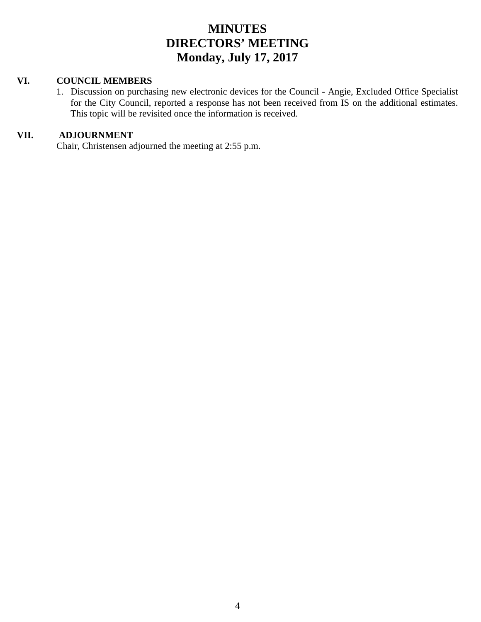#### **VI. COUNCIL MEMBERS**

1. Discussion on purchasing new electronic devices for the Council - Angie, Excluded Office Specialist for the City Council, reported a response has not been received from IS on the additional estimates. This topic will be revisited once the information is received.

## **VII. ADJOURNMENT**

Chair, Christensen adjourned the meeting at 2:55 p.m.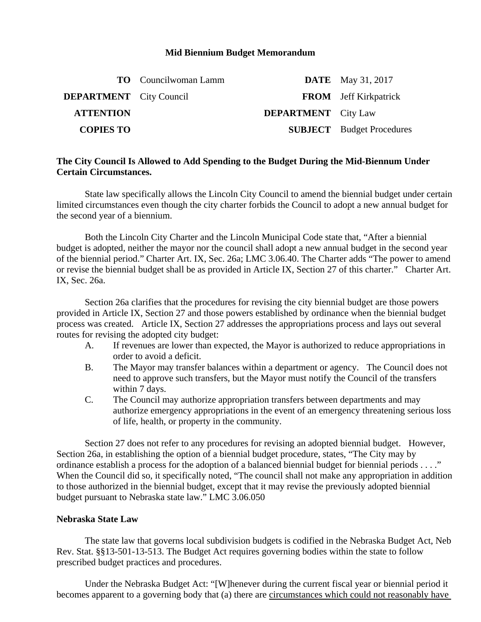#### **Mid Biennium Budget Memorandum**

|                                | <b>TO</b> Councilwoman Lamm |                            | <b>DATE</b> May 31, 2017         |
|--------------------------------|-----------------------------|----------------------------|----------------------------------|
| <b>DEPARTMENT</b> City Council |                             |                            | <b>FROM</b> Jeff Kirkpatrick     |
| <b>ATTENTION</b>               |                             | <b>DEPARTMENT</b> City Law |                                  |
| <b>COPIES TO</b>               |                             |                            | <b>SUBJECT</b> Budget Procedures |

### **The City Council Is Allowed to Add Spending to the Budget During the Mid-Biennum Under Certain Circumstances.**

State law specifically allows the Lincoln City Council to amend the biennial budget under certain limited circumstances even though the city charter forbids the Council to adopt a new annual budget for the second year of a biennium.

 Both the Lincoln City Charter and the Lincoln Municipal Code state that, "After a biennial budget is adopted, neither the mayor nor the council shall adopt a new annual budget in the second year of the biennial period." Charter Art. IX, Sec. 26a; LMC 3.06.40. The Charter adds "The power to amend or revise the biennial budget shall be as provided in Article IX, Section 27 of this charter." Charter Art. IX, Sec. 26a.

 Section 26a clarifies that the procedures for revising the city biennial budget are those powers provided in Article IX, Section 27 and those powers established by ordinance when the biennial budget process was created. Article IX, Section 27 addresses the appropriations process and lays out several routes for revising the adopted city budget:

- A. If revenues are lower than expected, the Mayor is authorized to reduce appropriations in order to avoid a deficit.
- B. The Mayor may transfer balances within a department or agency. The Council does not need to approve such transfers, but the Mayor must notify the Council of the transfers within 7 days.
- C. The Council may authorize appropriation transfers between departments and may authorize emergency appropriations in the event of an emergency threatening serious loss of life, health, or property in the community.

 Section 27 does not refer to any procedures for revising an adopted biennial budget. However, Section 26a, in establishing the option of a biennial budget procedure, states, "The City may by ordinance establish a process for the adoption of a balanced biennial budget for biennial periods . . . ." When the Council did so, it specifically noted, "The council shall not make any appropriation in addition to those authorized in the biennial budget, except that it may revise the previously adopted biennial budget pursuant to Nebraska state law." LMC 3.06.050

#### **Nebraska State Law**

 The state law that governs local subdivision budgets is codified in the Nebraska Budget Act, Neb Rev. Stat. §§13-501-13-513. The Budget Act requires governing bodies within the state to follow prescribed budget practices and procedures.

 Under the Nebraska Budget Act: "[W]henever during the current fiscal year or biennial period it becomes apparent to a governing body that (a) there are circumstances which could not reasonably have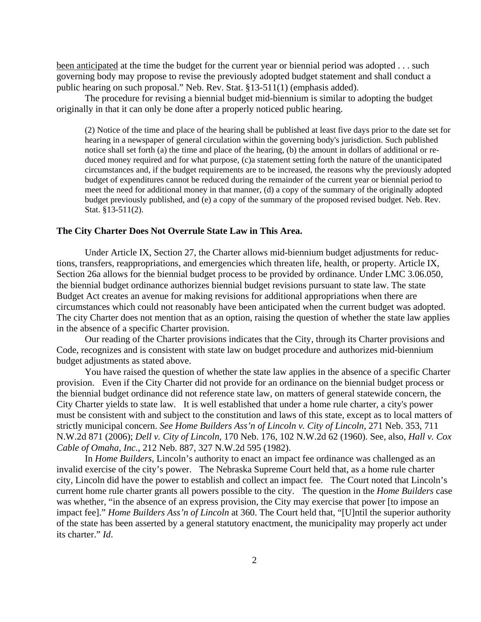been anticipated at the time the budget for the current year or biennial period was adopted . . . such governing body may propose to revise the previously adopted budget statement and shall conduct a public hearing on such proposal." Neb. Rev. Stat. §13-511(1) (emphasis added).

 The procedure for revising a biennial budget mid-biennium is similar to adopting the budget originally in that it can only be done after a properly noticed public hearing.

(2) Notice of the time and place of the hearing shall be published at least five days prior to the date set for hearing in a newspaper of general circulation within the governing body's jurisdiction. Such published notice shall set forth (a) the time and place of the hearing, (b) the amount in dollars of additional or reduced money required and for what purpose, (c)a statement setting forth the nature of the unanticipated circumstances and, if the budget requirements are to be increased, the reasons why the previously adopted budget of expenditures cannot be reduced during the remainder of the current year or biennial period to meet the need for additional money in that manner, (d) a copy of the summary of the originally adopted budget previously published, and (e) a copy of the summary of the proposed revised budget. Neb. Rev. Stat. §13-511(2).

#### **The City Charter Does Not Overrule State Law in This Area.**

 Under Article IX, Section 27, the Charter allows mid-biennium budget adjustments for reductions, transfers, reappropriations, and emergencies which threaten life, health, or property. Article IX, Section 26a allows for the biennial budget process to be provided by ordinance. Under LMC 3.06.050, the biennial budget ordinance authorizes biennial budget revisions pursuant to state law. The state Budget Act creates an avenue for making revisions for additional appropriations when there are circumstances which could not reasonably have been anticipated when the current budget was adopted. The city Charter does not mention that as an option, raising the question of whether the state law applies in the absence of a specific Charter provision.

 Our reading of the Charter provisions indicates that the City, through its Charter provisions and Code, recognizes and is consistent with state law on budget procedure and authorizes mid-biennium budget adjustments as stated above.

 You have raised the question of whether the state law applies in the absence of a specific Charter provision. Even if the City Charter did not provide for an ordinance on the biennial budget process or the biennial budget ordinance did not reference state law, on matters of general statewide concern, the City Charter yields to state law. It is well established that under a home rule charter, a city's power must be consistent with and subject to the constitution and laws of this state, except as to local matters of strictly municipal concern. *See Home Builders Ass'n of Lincoln v. City of Lincoln*, 271 Neb. 353, 711 N.W.2d 871 (2006); *Dell v. City of Lincoln*, 170 Neb. 176, 102 N.W.2d 62 (1960). See, also, *Hall v. Cox Cable of Omaha, Inc.*, 212 Neb. 887, 327 N.W.2d 595 (1982).

 In *Home Builders*, Lincoln's authority to enact an impact fee ordinance was challenged as an invalid exercise of the city's power. The Nebraska Supreme Court held that, as a home rule charter city, Lincoln did have the power to establish and collect an impact fee. The Court noted that Lincoln's current home rule charter grants all powers possible to the city. The question in the *Home Builders* case was whether, "in the absence of an express provision, the City may exercise that power [to impose an impact fee]." *Home Builders Ass'n of Lincoln* at 360. The Court held that, "[U]ntil the superior authority of the state has been asserted by a general statutory enactment, the municipality may properly act under its charter." *Id*.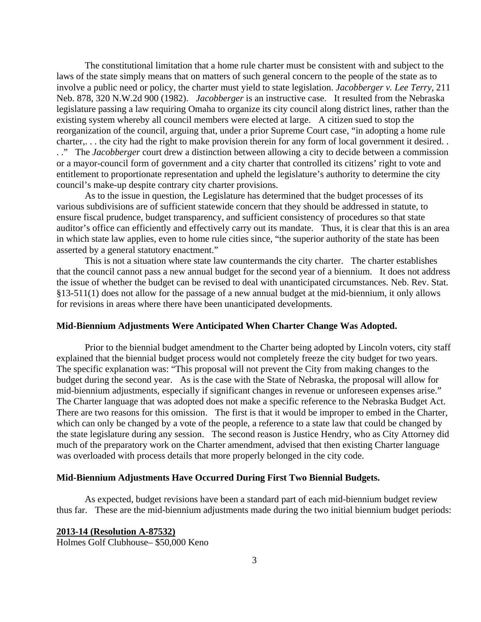The constitutional limitation that a home rule charter must be consistent with and subject to the laws of the state simply means that on matters of such general concern to the people of the state as to involve a public need or policy, the charter must yield to state legislation. *Jacobberger v. Lee Terry*, 211 Neb. 878, 320 N.W.2d 900 (1982). *Jacobberger* is an instructive case. It resulted from the Nebraska legislature passing a law requiring Omaha to organize its city council along district lines, rather than the existing system whereby all council members were elected at large. A citizen sued to stop the reorganization of the council, arguing that, under a prior Supreme Court case, "in adopting a home rule charter,. . . the city had the right to make provision therein for any form of local government it desired. . . ." The *Jacobberger* court drew a distinction between allowing a city to decide between a commission or a mayor-council form of government and a city charter that controlled its citizens' right to vote and entitlement to proportionate representation and upheld the legislature's authority to determine the city council's make-up despite contrary city charter provisions.

 As to the issue in question, the Legislature has determined that the budget processes of its various subdivisions are of sufficient statewide concern that they should be addressed in statute, to ensure fiscal prudence, budget transparency, and sufficient consistency of procedures so that state auditor's office can efficiently and effectively carry out its mandate. Thus, it is clear that this is an area in which state law applies, even to home rule cities since, "the superior authority of the state has been asserted by a general statutory enactment."

 This is not a situation where state law countermands the city charter. The charter establishes that the council cannot pass a new annual budget for the second year of a biennium. It does not address the issue of whether the budget can be revised to deal with unanticipated circumstances. Neb. Rev. Stat. §13-511(1) does not allow for the passage of a new annual budget at the mid-biennium, it only allows for revisions in areas where there have been unanticipated developments.

#### **Mid-Biennium Adjustments Were Anticipated When Charter Change Was Adopted.**

 Prior to the biennial budget amendment to the Charter being adopted by Lincoln voters, city staff explained that the biennial budget process would not completely freeze the city budget for two years. The specific explanation was: "This proposal will not prevent the City from making changes to the budget during the second year. As is the case with the State of Nebraska, the proposal will allow for mid-biennium adjustments, especially if significant changes in revenue or unforeseen expenses arise." The Charter language that was adopted does not make a specific reference to the Nebraska Budget Act. There are two reasons for this omission. The first is that it would be improper to embed in the Charter, which can only be changed by a vote of the people, a reference to a state law that could be changed by the state legislature during any session. The second reason is Justice Hendry, who as City Attorney did much of the preparatory work on the Charter amendment, advised that then existing Charter language was overloaded with process details that more properly belonged in the city code.

#### **Mid-Biennium Adjustments Have Occurred During First Two Biennial Budgets.**

As expected, budget revisions have been a standard part of each mid-biennium budget review thus far. These are the mid-biennium adjustments made during the two initial biennium budget periods:

**2013-14 (Resolution A-87532)**  Holmes Golf Clubhouse– \$50,000 Keno